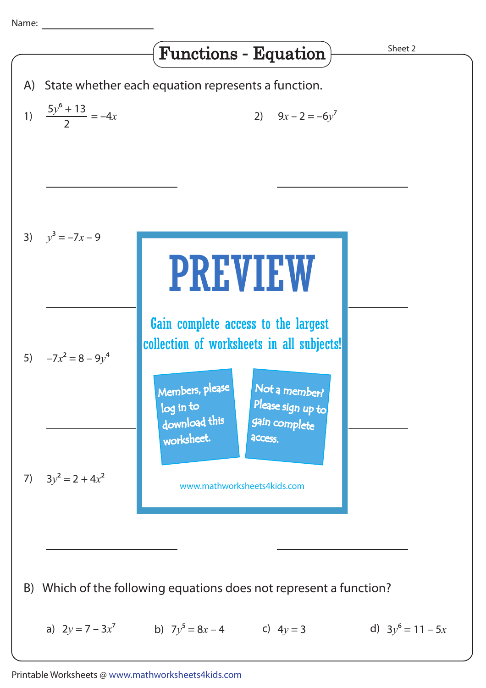